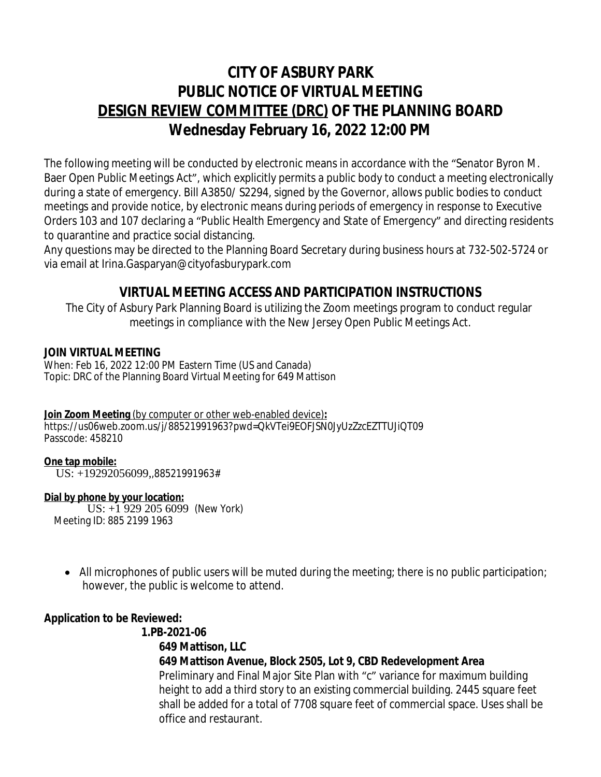# **CITY OF ASBURY PARK PUBLIC NOTICE OF VIRTUAL MEETING DESIGN REVIEW COMMITTEE (DRC) OF THE PLANNING BOARD Wednesday February 16, 2022 12:00 PM**

The following meeting will be conducted by electronic means in accordance with the "Senator Byron M. Baer Open Public Meetings Act", which explicitly permits a public body to conduct a meeting electronically during a state of emergency. Bill A3850/ [S2294,](https://www.njleg.state.nj.us/wmobile/BillViewwml.asp?varBillNumbr=S2294) signed by the Governor, allows public bodies to conduct meetings and provide notice, by electronic means during periods of emergency in response to Executive Orders 103 and 107 declaring a "Public Health Emergency and State of Emergency" and directing residents to quarantine and practice social distancing.

Any questions may be directed to the Planning Board Secretary during business hours at 732-502-5724 or via email at [Irina.Gasparyan@cityofasburypark.com](mailto:Irina.Gasparyan@cityofasburypark.com)

## **VIRTUAL MEETING ACCESS AND PARTICIPATION INSTRUCTIONS**

The City of Asbury Park Planning Board is utilizing the Zoom meetings program to conduct regular meetings in compliance with the New Jersey Open Public Meetings Act.

#### **JOIN VIRTUAL MEETING**

When: Feb 16, 2022 12:00 PM Eastern Time (US and Canada) Topic: DRC of the Planning Board Virtual Meeting for 649 Mattison

#### **Join Zoom Meeting** (by computer or other web-enabled device)**:** https://us06web.zoom.us/j/88521991963?pwd=QkVTei9EOFJSN0JyUzZzcEZTTUJiQT09 Passcode: 458210

#### **One tap mobile:**

US: +19292056099,,88521991963#

#### **Dial by phone by your location:**

 US: +1 929 205 6099 (New York) Meeting ID: 885 2199 1963

• All microphones of public users will be muted during the meeting; there is no public participation; however, the public is welcome to attend.

### **Application to be Reviewed:**

#### **1.PB-2021-06 649 Mattison, LLC 649 Mattison Avenue, Block 2505, Lot 9, CBD Redevelopment Area** Preliminary and Final Major Site Plan with "c" variance for maximum building height to add a third story to an existing commercial building. 2445 square feet shall be added for a total of 7708 square feet of commercial space. Uses shall be office and restaurant.